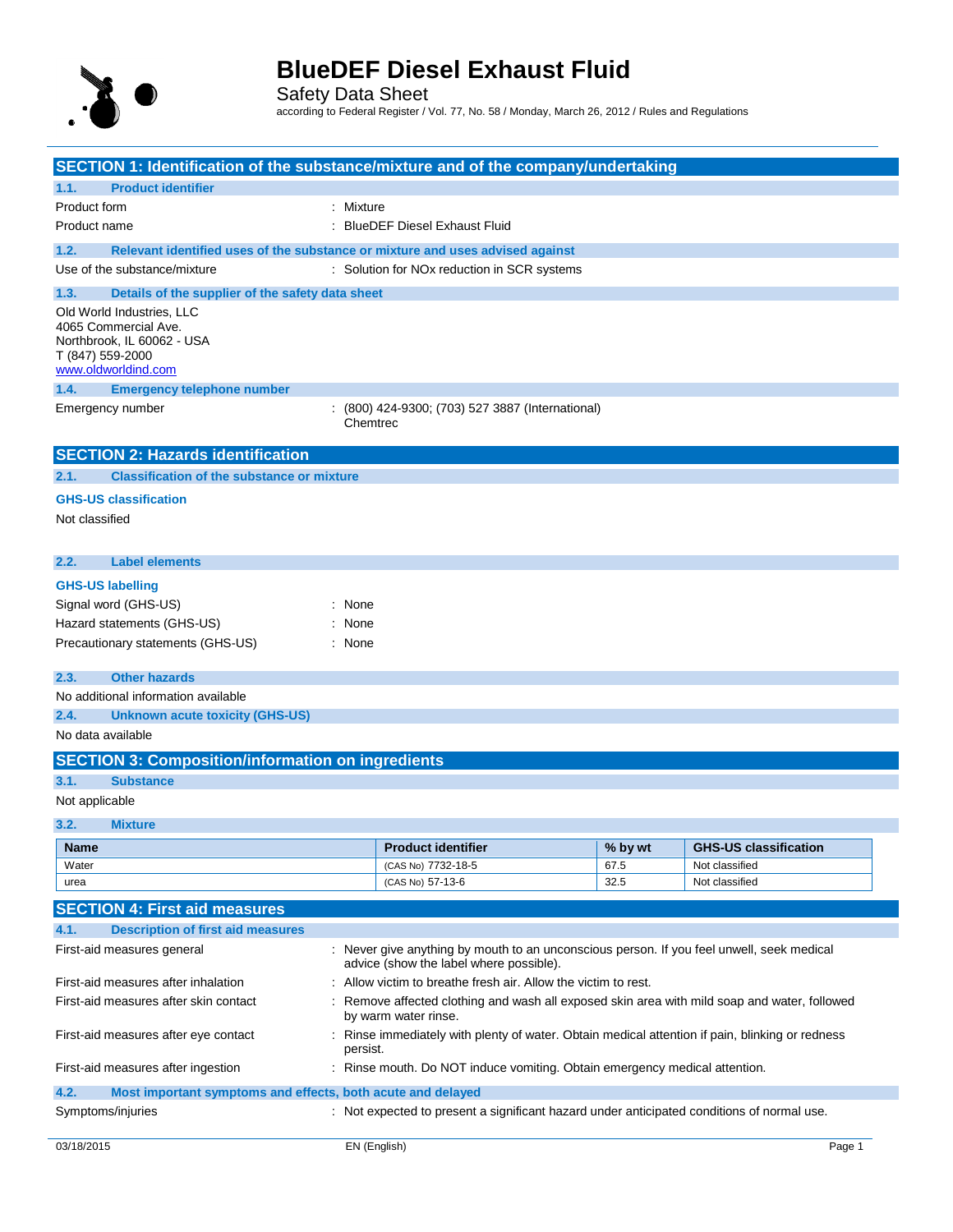

Safety Data Sheet according to Federal Register / Vol. 77, No. 58 / Monday, March 26, 2012 / Rules and Regulations

| SECTION 1: Identification of the substance/mixture and of the company/undertaking                                          |                                                                                                                                      |         |                              |  |
|----------------------------------------------------------------------------------------------------------------------------|--------------------------------------------------------------------------------------------------------------------------------------|---------|------------------------------|--|
| <b>Product identifier</b><br>1.1.                                                                                          |                                                                                                                                      |         |                              |  |
| Product form                                                                                                               | : Mixture                                                                                                                            |         |                              |  |
| Product name                                                                                                               | : BlueDEF Diesel Exhaust Fluid                                                                                                       |         |                              |  |
| 1.2.                                                                                                                       | Relevant identified uses of the substance or mixture and uses advised against                                                        |         |                              |  |
| Use of the substance/mixture                                                                                               | : Solution for NOx reduction in SCR systems                                                                                          |         |                              |  |
| 1.3.<br>Details of the supplier of the safety data sheet                                                                   |                                                                                                                                      |         |                              |  |
| Old World Industries, LLC<br>4065 Commercial Ave.<br>Northbrook, IL 60062 - USA<br>T (847) 559-2000<br>www.oldworldind.com |                                                                                                                                      |         |                              |  |
| <b>Emergency telephone number</b><br>1.4.                                                                                  |                                                                                                                                      |         |                              |  |
| Emergency number                                                                                                           | $(800)$ 424-9300; (703) 527 3887 (International)<br>Chemtrec                                                                         |         |                              |  |
| <b>SECTION 2: Hazards identification</b>                                                                                   |                                                                                                                                      |         |                              |  |
| <b>Classification of the substance or mixture</b><br>2.1.                                                                  |                                                                                                                                      |         |                              |  |
| <b>GHS-US classification</b><br>Not classified                                                                             |                                                                                                                                      |         |                              |  |
| 2.2.<br><b>Label elements</b>                                                                                              |                                                                                                                                      |         |                              |  |
| <b>GHS-US labelling</b>                                                                                                    |                                                                                                                                      |         |                              |  |
| Signal word (GHS-US)                                                                                                       | : None                                                                                                                               |         |                              |  |
| Hazard statements (GHS-US)                                                                                                 | $:$ None                                                                                                                             |         |                              |  |
| Precautionary statements (GHS-US)                                                                                          | : None                                                                                                                               |         |                              |  |
| <b>Other hazards</b><br>2.3.                                                                                               |                                                                                                                                      |         |                              |  |
| No additional information available                                                                                        |                                                                                                                                      |         |                              |  |
| 2.4.<br><b>Unknown acute toxicity (GHS-US)</b>                                                                             |                                                                                                                                      |         |                              |  |
| No data available                                                                                                          |                                                                                                                                      |         |                              |  |
| <b>SECTION 3: Composition/information on ingredients</b>                                                                   |                                                                                                                                      |         |                              |  |
| 3.1.<br><b>Substance</b>                                                                                                   |                                                                                                                                      |         |                              |  |
| Not applicable                                                                                                             |                                                                                                                                      |         |                              |  |
| 3.2.<br><b>Mixture</b>                                                                                                     |                                                                                                                                      |         |                              |  |
| <b>Name</b>                                                                                                                | <b>Product identifier</b>                                                                                                            | % by wt | <b>GHS-US classification</b> |  |
| Water                                                                                                                      | (CAS No) 7732-18-5                                                                                                                   | 67.5    | Not classified               |  |
| urea                                                                                                                       | (CAS No) 57-13-6                                                                                                                     | 32.5    | Not classified               |  |
| <b>SECTION 4: First aid measures</b>                                                                                       |                                                                                                                                      |         |                              |  |
| 4.1.<br><b>Description of first aid measures</b>                                                                           |                                                                                                                                      |         |                              |  |
| First-aid measures general                                                                                                 | : Never give anything by mouth to an unconscious person. If you feel unwell, seek medical<br>advice (show the label where possible). |         |                              |  |
| First-aid measures after inhalation                                                                                        | Allow victim to breathe fresh air. Allow the victim to rest.                                                                         |         |                              |  |
| First-aid measures after skin contact                                                                                      | Remove affected clothing and wash all exposed skin area with mild soap and water, followed<br>by warm water rinse.                   |         |                              |  |
| First-aid measures after eye contact                                                                                       | : Rinse immediately with plenty of water. Obtain medical attention if pain, blinking or redness<br>persist.                          |         |                              |  |
| First-aid measures after ingestion                                                                                         | : Rinse mouth. Do NOT induce vomiting. Obtain emergency medical attention.                                                           |         |                              |  |
| 4.2.<br>Most important symptoms and effects, both acute and delayed                                                        |                                                                                                                                      |         |                              |  |
| Symptoms/injuries                                                                                                          | : Not expected to present a significant hazard under anticipated conditions of normal use.                                           |         |                              |  |
| 03/18/2015                                                                                                                 | EN (English)                                                                                                                         |         | Page 1                       |  |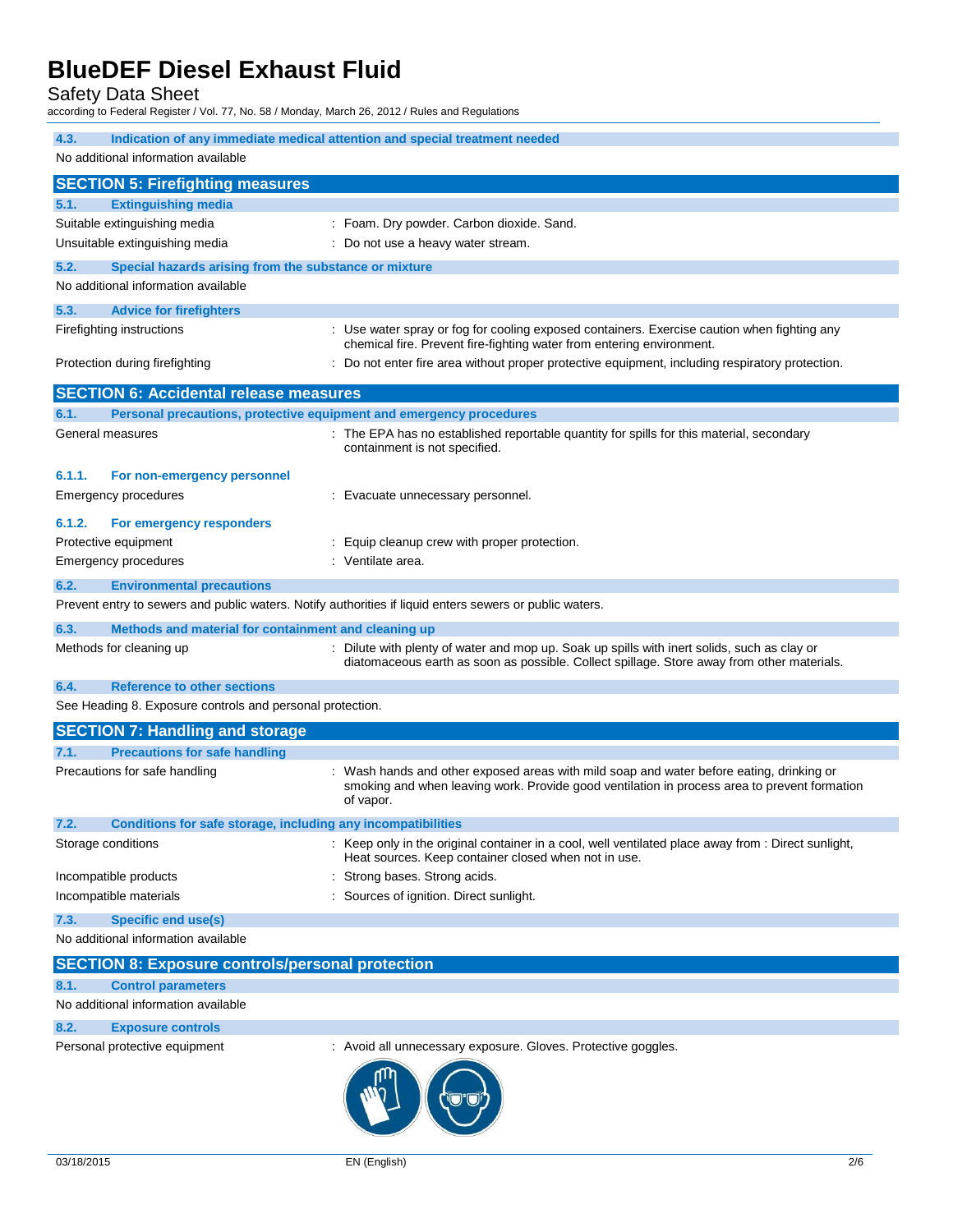Safety Data Sheet

according to Federal Register / Vol. 77, No. 58 / Monday, March 26, 2012 / Rules and Regulations

| 4.3.<br>Indication of any immediate medical attention and special treatment needed<br>No additional information available<br><b>SECTION 5: Firefighting measures</b><br><b>Extinguishing media</b><br>5.1.<br>Suitable extinguishing media<br>: Foam. Dry powder. Carbon dioxide. Sand.<br>Unsuitable extinguishing media<br>: Do not use a heavy water stream.<br>5.2.<br>Special hazards arising from the substance or mixture<br>No additional information available<br>5.3.<br><b>Advice for firefighters</b><br>Use water spray or fog for cooling exposed containers. Exercise caution when fighting any<br>Firefighting instructions<br>chemical fire. Prevent fire-fighting water from entering environment.<br>Do not enter fire area without proper protective equipment, including respiratory protection.<br>Protection during firefighting<br><b>SECTION 6: Accidental release measures</b><br>6.1.<br>Personal precautions, protective equipment and emergency procedures<br>: The EPA has no established reportable quantity for spills for this material, secondary<br>General measures<br>containment is not specified.<br>6.1.1.<br>For non-emergency personnel<br><b>Emergency procedures</b><br>: Evacuate unnecessary personnel.<br>For emergency responders<br>6.1.2.<br>Protective equipment<br>: Equip cleanup crew with proper protection.<br>: Ventilate area.<br><b>Emergency procedures</b><br>6.2.<br><b>Environmental precautions</b><br>Prevent entry to sewers and public waters. Notify authorities if liquid enters sewers or public waters.<br>6.3.<br>Methods and material for containment and cleaning up<br>: Dilute with plenty of water and mop up. Soak up spills with inert solids, such as clay or<br>Methods for cleaning up<br>diatomaceous earth as soon as possible. Collect spillage. Store away from other materials.<br>6.4.<br><b>Reference to other sections</b><br>See Heading 8. Exposure controls and personal protection.<br><b>SECTION 7: Handling and storage</b><br><b>Precautions for safe handling</b><br>7.1.<br>Precautions for safe handling<br>Wash hands and other exposed areas with mild soap and water before eating, drinking or<br>smoking and when leaving work. Provide good ventilation in process area to prevent formation<br>of vapor.<br>7.2.<br><b>Conditions for safe storage, including any incompatibilities</b><br>Keep only in the original container in a cool, well ventilated place away from : Direct sunlight, |
|---------------------------------------------------------------------------------------------------------------------------------------------------------------------------------------------------------------------------------------------------------------------------------------------------------------------------------------------------------------------------------------------------------------------------------------------------------------------------------------------------------------------------------------------------------------------------------------------------------------------------------------------------------------------------------------------------------------------------------------------------------------------------------------------------------------------------------------------------------------------------------------------------------------------------------------------------------------------------------------------------------------------------------------------------------------------------------------------------------------------------------------------------------------------------------------------------------------------------------------------------------------------------------------------------------------------------------------------------------------------------------------------------------------------------------------------------------------------------------------------------------------------------------------------------------------------------------------------------------------------------------------------------------------------------------------------------------------------------------------------------------------------------------------------------------------------------------------------------------------------------------------------------------------------------------------------------------------------------------------------------------------------------------------------------------------------------------------------------------------------------------------------------------------------------------------------------------------------------------------------------------------------------------------------------------------------------------------------------------------------------------------------------------------------------------------------------------------------------------------------------------|
|                                                                                                                                                                                                                                                                                                                                                                                                                                                                                                                                                                                                                                                                                                                                                                                                                                                                                                                                                                                                                                                                                                                                                                                                                                                                                                                                                                                                                                                                                                                                                                                                                                                                                                                                                                                                                                                                                                                                                                                                                                                                                                                                                                                                                                                                                                                                                                                                                                                                                                         |
|                                                                                                                                                                                                                                                                                                                                                                                                                                                                                                                                                                                                                                                                                                                                                                                                                                                                                                                                                                                                                                                                                                                                                                                                                                                                                                                                                                                                                                                                                                                                                                                                                                                                                                                                                                                                                                                                                                                                                                                                                                                                                                                                                                                                                                                                                                                                                                                                                                                                                                         |
|                                                                                                                                                                                                                                                                                                                                                                                                                                                                                                                                                                                                                                                                                                                                                                                                                                                                                                                                                                                                                                                                                                                                                                                                                                                                                                                                                                                                                                                                                                                                                                                                                                                                                                                                                                                                                                                                                                                                                                                                                                                                                                                                                                                                                                                                                                                                                                                                                                                                                                         |
|                                                                                                                                                                                                                                                                                                                                                                                                                                                                                                                                                                                                                                                                                                                                                                                                                                                                                                                                                                                                                                                                                                                                                                                                                                                                                                                                                                                                                                                                                                                                                                                                                                                                                                                                                                                                                                                                                                                                                                                                                                                                                                                                                                                                                                                                                                                                                                                                                                                                                                         |
|                                                                                                                                                                                                                                                                                                                                                                                                                                                                                                                                                                                                                                                                                                                                                                                                                                                                                                                                                                                                                                                                                                                                                                                                                                                                                                                                                                                                                                                                                                                                                                                                                                                                                                                                                                                                                                                                                                                                                                                                                                                                                                                                                                                                                                                                                                                                                                                                                                                                                                         |
|                                                                                                                                                                                                                                                                                                                                                                                                                                                                                                                                                                                                                                                                                                                                                                                                                                                                                                                                                                                                                                                                                                                                                                                                                                                                                                                                                                                                                                                                                                                                                                                                                                                                                                                                                                                                                                                                                                                                                                                                                                                                                                                                                                                                                                                                                                                                                                                                                                                                                                         |
|                                                                                                                                                                                                                                                                                                                                                                                                                                                                                                                                                                                                                                                                                                                                                                                                                                                                                                                                                                                                                                                                                                                                                                                                                                                                                                                                                                                                                                                                                                                                                                                                                                                                                                                                                                                                                                                                                                                                                                                                                                                                                                                                                                                                                                                                                                                                                                                                                                                                                                         |
|                                                                                                                                                                                                                                                                                                                                                                                                                                                                                                                                                                                                                                                                                                                                                                                                                                                                                                                                                                                                                                                                                                                                                                                                                                                                                                                                                                                                                                                                                                                                                                                                                                                                                                                                                                                                                                                                                                                                                                                                                                                                                                                                                                                                                                                                                                                                                                                                                                                                                                         |
|                                                                                                                                                                                                                                                                                                                                                                                                                                                                                                                                                                                                                                                                                                                                                                                                                                                                                                                                                                                                                                                                                                                                                                                                                                                                                                                                                                                                                                                                                                                                                                                                                                                                                                                                                                                                                                                                                                                                                                                                                                                                                                                                                                                                                                                                                                                                                                                                                                                                                                         |
|                                                                                                                                                                                                                                                                                                                                                                                                                                                                                                                                                                                                                                                                                                                                                                                                                                                                                                                                                                                                                                                                                                                                                                                                                                                                                                                                                                                                                                                                                                                                                                                                                                                                                                                                                                                                                                                                                                                                                                                                                                                                                                                                                                                                                                                                                                                                                                                                                                                                                                         |
|                                                                                                                                                                                                                                                                                                                                                                                                                                                                                                                                                                                                                                                                                                                                                                                                                                                                                                                                                                                                                                                                                                                                                                                                                                                                                                                                                                                                                                                                                                                                                                                                                                                                                                                                                                                                                                                                                                                                                                                                                                                                                                                                                                                                                                                                                                                                                                                                                                                                                                         |
|                                                                                                                                                                                                                                                                                                                                                                                                                                                                                                                                                                                                                                                                                                                                                                                                                                                                                                                                                                                                                                                                                                                                                                                                                                                                                                                                                                                                                                                                                                                                                                                                                                                                                                                                                                                                                                                                                                                                                                                                                                                                                                                                                                                                                                                                                                                                                                                                                                                                                                         |
|                                                                                                                                                                                                                                                                                                                                                                                                                                                                                                                                                                                                                                                                                                                                                                                                                                                                                                                                                                                                                                                                                                                                                                                                                                                                                                                                                                                                                                                                                                                                                                                                                                                                                                                                                                                                                                                                                                                                                                                                                                                                                                                                                                                                                                                                                                                                                                                                                                                                                                         |
|                                                                                                                                                                                                                                                                                                                                                                                                                                                                                                                                                                                                                                                                                                                                                                                                                                                                                                                                                                                                                                                                                                                                                                                                                                                                                                                                                                                                                                                                                                                                                                                                                                                                                                                                                                                                                                                                                                                                                                                                                                                                                                                                                                                                                                                                                                                                                                                                                                                                                                         |
|                                                                                                                                                                                                                                                                                                                                                                                                                                                                                                                                                                                                                                                                                                                                                                                                                                                                                                                                                                                                                                                                                                                                                                                                                                                                                                                                                                                                                                                                                                                                                                                                                                                                                                                                                                                                                                                                                                                                                                                                                                                                                                                                                                                                                                                                                                                                                                                                                                                                                                         |
|                                                                                                                                                                                                                                                                                                                                                                                                                                                                                                                                                                                                                                                                                                                                                                                                                                                                                                                                                                                                                                                                                                                                                                                                                                                                                                                                                                                                                                                                                                                                                                                                                                                                                                                                                                                                                                                                                                                                                                                                                                                                                                                                                                                                                                                                                                                                                                                                                                                                                                         |
|                                                                                                                                                                                                                                                                                                                                                                                                                                                                                                                                                                                                                                                                                                                                                                                                                                                                                                                                                                                                                                                                                                                                                                                                                                                                                                                                                                                                                                                                                                                                                                                                                                                                                                                                                                                                                                                                                                                                                                                                                                                                                                                                                                                                                                                                                                                                                                                                                                                                                                         |
|                                                                                                                                                                                                                                                                                                                                                                                                                                                                                                                                                                                                                                                                                                                                                                                                                                                                                                                                                                                                                                                                                                                                                                                                                                                                                                                                                                                                                                                                                                                                                                                                                                                                                                                                                                                                                                                                                                                                                                                                                                                                                                                                                                                                                                                                                                                                                                                                                                                                                                         |
|                                                                                                                                                                                                                                                                                                                                                                                                                                                                                                                                                                                                                                                                                                                                                                                                                                                                                                                                                                                                                                                                                                                                                                                                                                                                                                                                                                                                                                                                                                                                                                                                                                                                                                                                                                                                                                                                                                                                                                                                                                                                                                                                                                                                                                                                                                                                                                                                                                                                                                         |
|                                                                                                                                                                                                                                                                                                                                                                                                                                                                                                                                                                                                                                                                                                                                                                                                                                                                                                                                                                                                                                                                                                                                                                                                                                                                                                                                                                                                                                                                                                                                                                                                                                                                                                                                                                                                                                                                                                                                                                                                                                                                                                                                                                                                                                                                                                                                                                                                                                                                                                         |
|                                                                                                                                                                                                                                                                                                                                                                                                                                                                                                                                                                                                                                                                                                                                                                                                                                                                                                                                                                                                                                                                                                                                                                                                                                                                                                                                                                                                                                                                                                                                                                                                                                                                                                                                                                                                                                                                                                                                                                                                                                                                                                                                                                                                                                                                                                                                                                                                                                                                                                         |
|                                                                                                                                                                                                                                                                                                                                                                                                                                                                                                                                                                                                                                                                                                                                                                                                                                                                                                                                                                                                                                                                                                                                                                                                                                                                                                                                                                                                                                                                                                                                                                                                                                                                                                                                                                                                                                                                                                                                                                                                                                                                                                                                                                                                                                                                                                                                                                                                                                                                                                         |
|                                                                                                                                                                                                                                                                                                                                                                                                                                                                                                                                                                                                                                                                                                                                                                                                                                                                                                                                                                                                                                                                                                                                                                                                                                                                                                                                                                                                                                                                                                                                                                                                                                                                                                                                                                                                                                                                                                                                                                                                                                                                                                                                                                                                                                                                                                                                                                                                                                                                                                         |
|                                                                                                                                                                                                                                                                                                                                                                                                                                                                                                                                                                                                                                                                                                                                                                                                                                                                                                                                                                                                                                                                                                                                                                                                                                                                                                                                                                                                                                                                                                                                                                                                                                                                                                                                                                                                                                                                                                                                                                                                                                                                                                                                                                                                                                                                                                                                                                                                                                                                                                         |
|                                                                                                                                                                                                                                                                                                                                                                                                                                                                                                                                                                                                                                                                                                                                                                                                                                                                                                                                                                                                                                                                                                                                                                                                                                                                                                                                                                                                                                                                                                                                                                                                                                                                                                                                                                                                                                                                                                                                                                                                                                                                                                                                                                                                                                                                                                                                                                                                                                                                                                         |
|                                                                                                                                                                                                                                                                                                                                                                                                                                                                                                                                                                                                                                                                                                                                                                                                                                                                                                                                                                                                                                                                                                                                                                                                                                                                                                                                                                                                                                                                                                                                                                                                                                                                                                                                                                                                                                                                                                                                                                                                                                                                                                                                                                                                                                                                                                                                                                                                                                                                                                         |
|                                                                                                                                                                                                                                                                                                                                                                                                                                                                                                                                                                                                                                                                                                                                                                                                                                                                                                                                                                                                                                                                                                                                                                                                                                                                                                                                                                                                                                                                                                                                                                                                                                                                                                                                                                                                                                                                                                                                                                                                                                                                                                                                                                                                                                                                                                                                                                                                                                                                                                         |
|                                                                                                                                                                                                                                                                                                                                                                                                                                                                                                                                                                                                                                                                                                                                                                                                                                                                                                                                                                                                                                                                                                                                                                                                                                                                                                                                                                                                                                                                                                                                                                                                                                                                                                                                                                                                                                                                                                                                                                                                                                                                                                                                                                                                                                                                                                                                                                                                                                                                                                         |
|                                                                                                                                                                                                                                                                                                                                                                                                                                                                                                                                                                                                                                                                                                                                                                                                                                                                                                                                                                                                                                                                                                                                                                                                                                                                                                                                                                                                                                                                                                                                                                                                                                                                                                                                                                                                                                                                                                                                                                                                                                                                                                                                                                                                                                                                                                                                                                                                                                                                                                         |
|                                                                                                                                                                                                                                                                                                                                                                                                                                                                                                                                                                                                                                                                                                                                                                                                                                                                                                                                                                                                                                                                                                                                                                                                                                                                                                                                                                                                                                                                                                                                                                                                                                                                                                                                                                                                                                                                                                                                                                                                                                                                                                                                                                                                                                                                                                                                                                                                                                                                                                         |
|                                                                                                                                                                                                                                                                                                                                                                                                                                                                                                                                                                                                                                                                                                                                                                                                                                                                                                                                                                                                                                                                                                                                                                                                                                                                                                                                                                                                                                                                                                                                                                                                                                                                                                                                                                                                                                                                                                                                                                                                                                                                                                                                                                                                                                                                                                                                                                                                                                                                                                         |
| Storage conditions<br>Heat sources. Keep container closed when not in use.                                                                                                                                                                                                                                                                                                                                                                                                                                                                                                                                                                                                                                                                                                                                                                                                                                                                                                                                                                                                                                                                                                                                                                                                                                                                                                                                                                                                                                                                                                                                                                                                                                                                                                                                                                                                                                                                                                                                                                                                                                                                                                                                                                                                                                                                                                                                                                                                                              |
| : Strong bases. Strong acids.<br>Incompatible products                                                                                                                                                                                                                                                                                                                                                                                                                                                                                                                                                                                                                                                                                                                                                                                                                                                                                                                                                                                                                                                                                                                                                                                                                                                                                                                                                                                                                                                                                                                                                                                                                                                                                                                                                                                                                                                                                                                                                                                                                                                                                                                                                                                                                                                                                                                                                                                                                                                  |
| : Sources of ignition. Direct sunlight.<br>Incompatible materials                                                                                                                                                                                                                                                                                                                                                                                                                                                                                                                                                                                                                                                                                                                                                                                                                                                                                                                                                                                                                                                                                                                                                                                                                                                                                                                                                                                                                                                                                                                                                                                                                                                                                                                                                                                                                                                                                                                                                                                                                                                                                                                                                                                                                                                                                                                                                                                                                                       |
| <b>Specific end use(s)</b><br>7.3.                                                                                                                                                                                                                                                                                                                                                                                                                                                                                                                                                                                                                                                                                                                                                                                                                                                                                                                                                                                                                                                                                                                                                                                                                                                                                                                                                                                                                                                                                                                                                                                                                                                                                                                                                                                                                                                                                                                                                                                                                                                                                                                                                                                                                                                                                                                                                                                                                                                                      |
| No additional information available                                                                                                                                                                                                                                                                                                                                                                                                                                                                                                                                                                                                                                                                                                                                                                                                                                                                                                                                                                                                                                                                                                                                                                                                                                                                                                                                                                                                                                                                                                                                                                                                                                                                                                                                                                                                                                                                                                                                                                                                                                                                                                                                                                                                                                                                                                                                                                                                                                                                     |
| <b>SECTION 8: Exposure controls/personal protection</b>                                                                                                                                                                                                                                                                                                                                                                                                                                                                                                                                                                                                                                                                                                                                                                                                                                                                                                                                                                                                                                                                                                                                                                                                                                                                                                                                                                                                                                                                                                                                                                                                                                                                                                                                                                                                                                                                                                                                                                                                                                                                                                                                                                                                                                                                                                                                                                                                                                                 |
|                                                                                                                                                                                                                                                                                                                                                                                                                                                                                                                                                                                                                                                                                                                                                                                                                                                                                                                                                                                                                                                                                                                                                                                                                                                                                                                                                                                                                                                                                                                                                                                                                                                                                                                                                                                                                                                                                                                                                                                                                                                                                                                                                                                                                                                                                                                                                                                                                                                                                                         |
| <b>Control parameters</b><br>8.1.                                                                                                                                                                                                                                                                                                                                                                                                                                                                                                                                                                                                                                                                                                                                                                                                                                                                                                                                                                                                                                                                                                                                                                                                                                                                                                                                                                                                                                                                                                                                                                                                                                                                                                                                                                                                                                                                                                                                                                                                                                                                                                                                                                                                                                                                                                                                                                                                                                                                       |

### **8.2. Exposure controls**

Personal protective equipment : Avoid all unnecessary exposure. Gloves. Protective goggles.

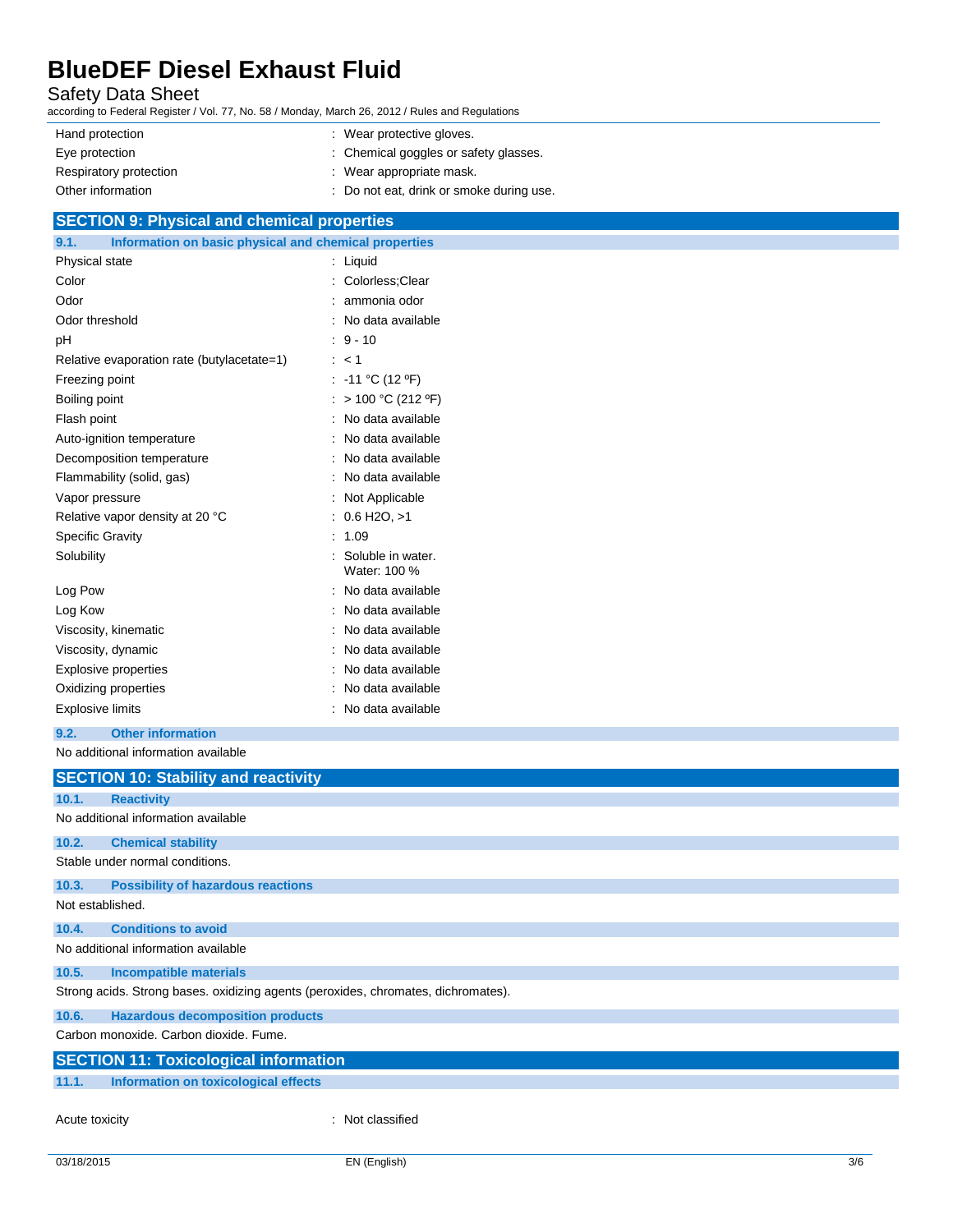### Safety Data Sheet

according to Federal Register / Vol. 77, No. 58 / Monday, March 26, 2012 / Rules and Regulations

| Hand protection<br>: Wear protective gloves.       |                                          |
|----------------------------------------------------|------------------------------------------|
| Eye protection                                     | : Chemical goggles or safety glasses.    |
| : Wear appropriate mask.<br>Respiratory protection |                                          |
| Other information                                  | : Do not eat, drink or smoke during use. |

## **SECTION 9: Physical and chemical properties**

| Information on basic physical and chemical properties<br>9.1. |                                   |
|---------------------------------------------------------------|-----------------------------------|
| Physical state                                                | Liquid                            |
| Color                                                         | Colorless: Clear                  |
| Odor                                                          | ammonia odor                      |
| Odor threshold                                                | No data available                 |
| рH                                                            | $9 - 10$                          |
| Relative evaporation rate (butylacetate=1)                    | < 1                               |
| Freezing point                                                | $-11 °C (12 °F)$                  |
| Boiling point                                                 | > 100 °C (212 °F)                 |
| Flash point                                                   | No data available                 |
| Auto-ignition temperature                                     | No data available                 |
| Decomposition temperature                                     | No data available                 |
| Flammability (solid, gas)                                     | No data available                 |
| Vapor pressure                                                | Not Applicable                    |
| Relative vapor density at 20 °C                               | $0.6$ H <sub>2</sub> O, $>1$      |
| <b>Specific Gravity</b>                                       | 1.09                              |
| Solubility                                                    | Soluble in water.<br>Water: 100 % |
| Log Pow                                                       | No data available                 |
| Log Kow                                                       | No data available                 |
| Viscosity, kinematic                                          | No data available                 |
| Viscosity, dynamic                                            | No data available                 |
| <b>Explosive properties</b>                                   | No data available                 |
| Oxidizing properties                                          | No data available                 |
| <b>Explosive limits</b>                                       | No data available                 |

**9.2. Other information**

No additional information available

|                  | <b>SECTION 10: Stability and reactivity</b>                                       |
|------------------|-----------------------------------------------------------------------------------|
| 10.1.            | <b>Reactivity</b>                                                                 |
|                  |                                                                                   |
|                  | No additional information available                                               |
| 10.2.            | <b>Chemical stability</b>                                                         |
|                  | Stable under normal conditions.                                                   |
| 10.3.            | <b>Possibility of hazardous reactions</b>                                         |
| Not established. |                                                                                   |
| 10.4.            | <b>Conditions to avoid</b>                                                        |
|                  | No additional information available                                               |
| 10.5.            | <b>Incompatible materials</b>                                                     |
|                  | Strong acids. Strong bases. oxidizing agents (peroxides, chromates, dichromates). |
| 10.6.            | <b>Hazardous decomposition products</b>                                           |
|                  | Carbon monoxide, Carbon dioxide, Fume.                                            |
|                  | <b>SECTION 11: Toxicological information</b>                                      |
| 11.1.            | Information on toxicological effects                                              |
|                  |                                                                                   |
| Acute toxicity   | : Not classified                                                                  |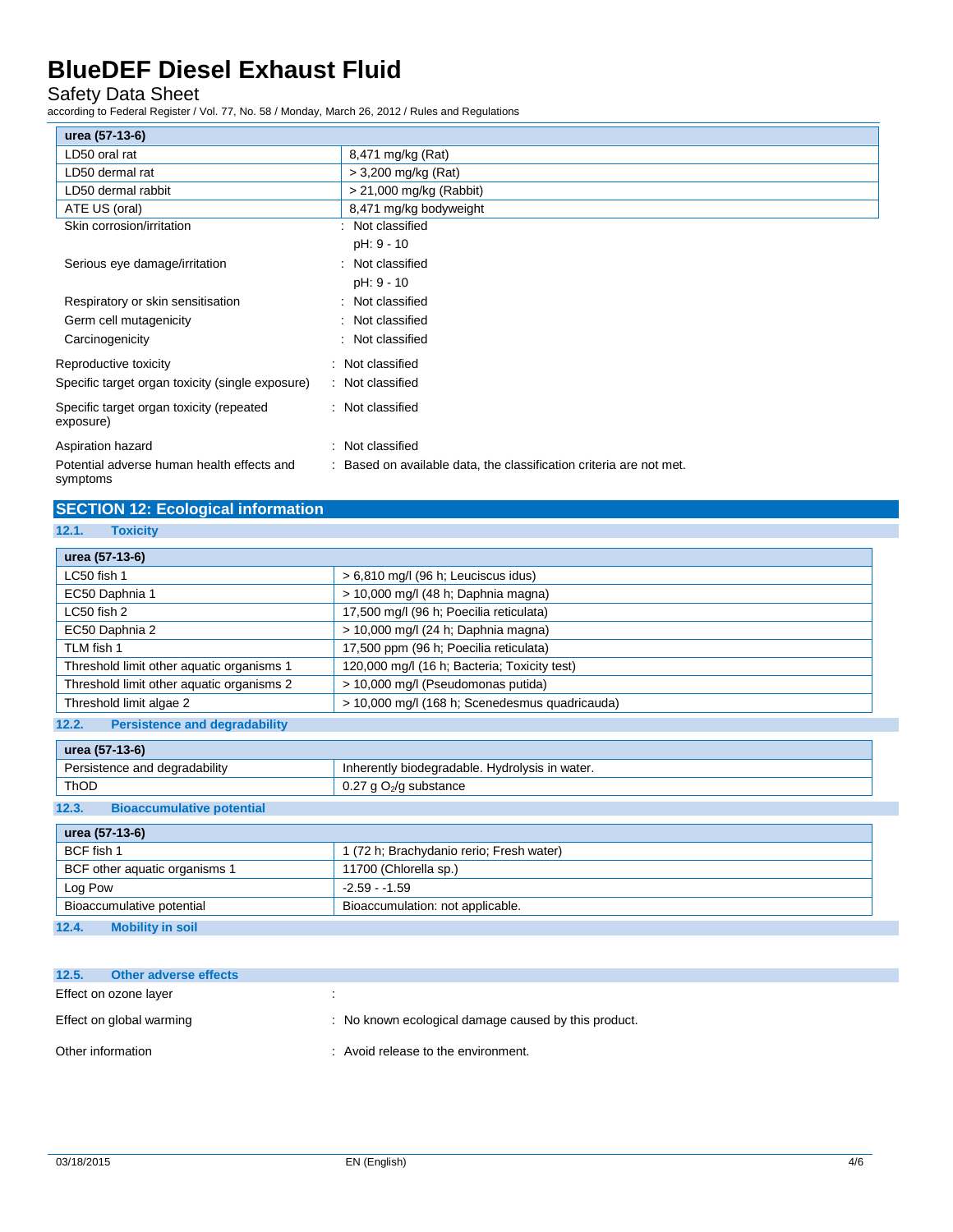### Safety Data Sheet

according to Federal Register / Vol. 77, No. 58 / Monday, March 26, 2012 / Rules and Regulations

| urea (57-13-6)                                         |                                                                     |
|--------------------------------------------------------|---------------------------------------------------------------------|
| LD50 oral rat                                          | 8,471 mg/kg (Rat)                                                   |
| LD50 dermal rat                                        | > 3,200 mg/kg (Rat)                                                 |
| LD50 dermal rabbit                                     | $> 21,000$ mg/kg (Rabbit)                                           |
| ATE US (oral)                                          | 8,471 mg/kg bodyweight                                              |
| Skin corrosion/irritation                              | : Not classified                                                    |
|                                                        | pH: 9 - 10                                                          |
| Serious eye damage/irritation                          | : Not classified                                                    |
|                                                        | pH: 9 - 10                                                          |
| Respiratory or skin sensitisation                      | : Not classified                                                    |
| Germ cell mutagenicity                                 | : Not classified                                                    |
| Carcinogenicity                                        | : Not classified                                                    |
| Reproductive toxicity                                  | : Not classified                                                    |
| Specific target organ toxicity (single exposure)       | : Not classified                                                    |
| Specific target organ toxicity (repeated<br>exposure)  | : Not classified                                                    |
| Aspiration hazard                                      | : Not classified                                                    |
| Potential adverse human health effects and<br>symptoms | : Based on available data, the classification criteria are not met. |

## **SECTION 12: Ecological information**

**12.1. Toxicity**

| urea (57-13-6)                                |                                                |
|-----------------------------------------------|------------------------------------------------|
| LC50 fish 1                                   | $> 6,810$ mg/l (96 h; Leuciscus idus)          |
| EC50 Daphnia 1                                | > 10,000 mg/l (48 h; Daphnia magna)            |
| LC50 fish 2                                   | 17,500 mg/l (96 h; Poecilia reticulata)        |
| EC50 Daphnia 2                                | > 10,000 mg/l (24 h; Daphnia magna)            |
| TLM fish 1                                    | 17,500 ppm (96 h; Poecilia reticulata)         |
| Threshold limit other aquatic organisms 1     | 120,000 mg/l (16 h; Bacteria; Toxicity test)   |
| Threshold limit other aquatic organisms 2     | > 10,000 mg/l (Pseudomonas putida)             |
| Threshold limit algae 2                       | > 10,000 mg/l (168 h; Scenedesmus quadricauda) |
| 12.2.<br><b>Persistence and degradability</b> |                                                |

| urea (57-13-6)                |                                                |
|-------------------------------|------------------------------------------------|
| Persistence and degradability | Inherently biodegradable. Hydrolysis in water. |
| <b>ThOD</b>                   | 0.27 g O <sub>2</sub> /g substance             |
| ______<br>___                 |                                                |

#### **12.3. Bioaccumulative potential**

| urea (57-13-6)                   |                                          |
|----------------------------------|------------------------------------------|
| BCF fish 1                       | 1 (72 h; Brachydanio rerio; Fresh water) |
| BCF other aquatic organisms 1    | 11700 (Chlorella sp.)                    |
| Log Pow                          | $-2.59 - 1.59$                           |
| Bioaccumulative potential        | Bioaccumulation: not applicable.         |
| 12.4.<br><b>Mobility in soil</b> |                                          |

| 12.5.             | Other adverse effects    |                                                      |
|-------------------|--------------------------|------------------------------------------------------|
|                   | Effect on ozone layer    |                                                      |
|                   | Effect on global warming | : No known ecological damage caused by this product. |
| Other information |                          | : Avoid release to the environment.                  |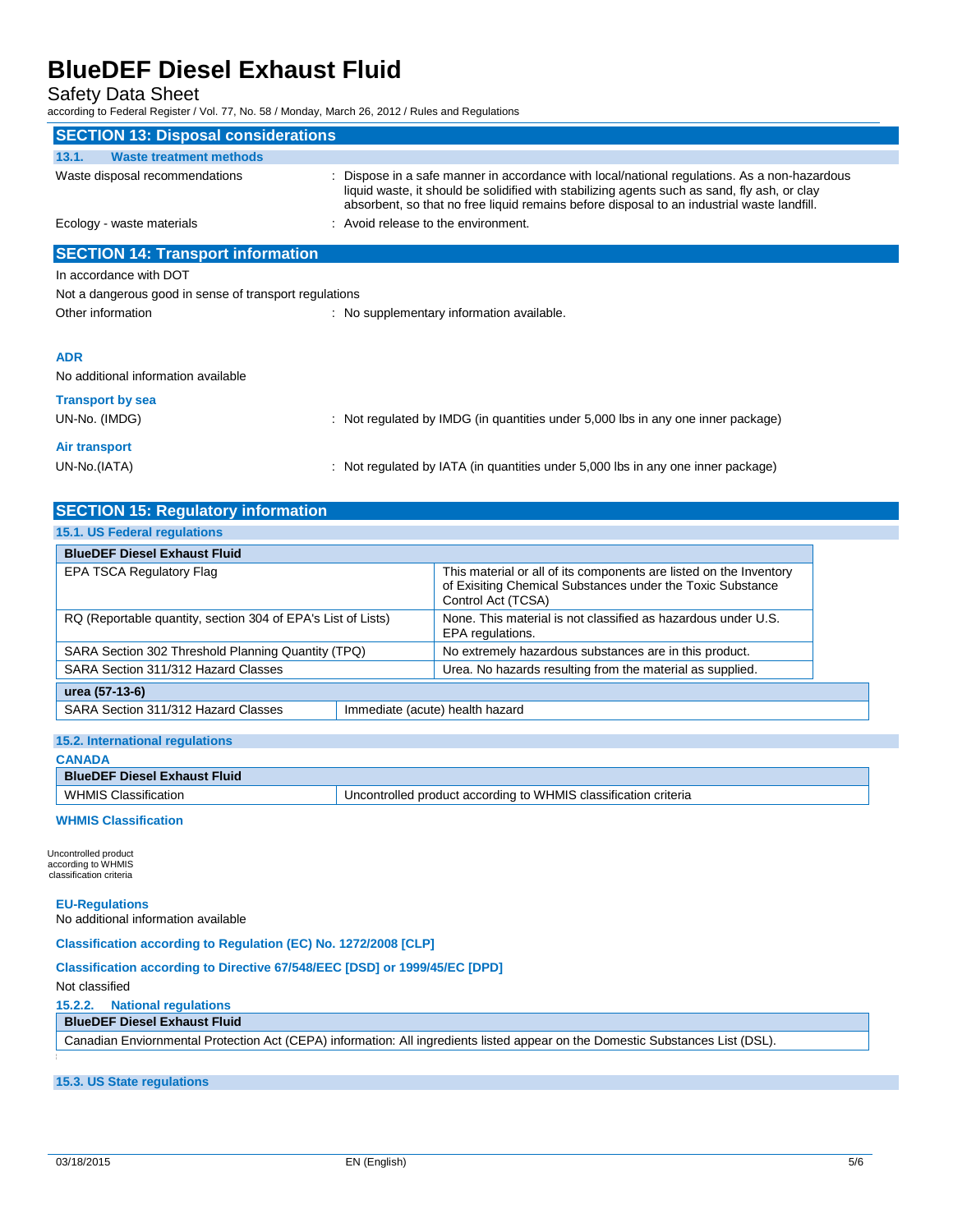### Safety Data Sheet

according to Federal Register / Vol. 77, No. 58 / Monday, March 26, 2012 / Rules and Regulations

| <b>SECTION 13: Disposal considerations</b>             |                                                                                                                                                                                                                                                                                            |
|--------------------------------------------------------|--------------------------------------------------------------------------------------------------------------------------------------------------------------------------------------------------------------------------------------------------------------------------------------------|
| 13.1.<br><b>Waste treatment methods</b>                |                                                                                                                                                                                                                                                                                            |
| Waste disposal recommendations                         | : Dispose in a safe manner in accordance with local/national regulations. As a non-hazardous<br>liquid waste, it should be solidified with stabilizing agents such as sand, fly ash, or clay<br>absorbent, so that no free liquid remains before disposal to an industrial waste landfill. |
| Ecology - waste materials                              | : Avoid release to the environment.                                                                                                                                                                                                                                                        |
| <b>SECTION 14: Transport information</b>               |                                                                                                                                                                                                                                                                                            |
| In accordance with DOT                                 |                                                                                                                                                                                                                                                                                            |
| Not a dangerous good in sense of transport regulations |                                                                                                                                                                                                                                                                                            |
| Other information                                      | : No supplementary information available.                                                                                                                                                                                                                                                  |
| <b>ADR</b>                                             |                                                                                                                                                                                                                                                                                            |
| No additional information available                    |                                                                                                                                                                                                                                                                                            |
| <b>Transport by sea</b>                                |                                                                                                                                                                                                                                                                                            |
| UN-No. (IMDG)                                          | : Not regulated by IMDG (in quantities under 5,000 lbs in any one inner package)                                                                                                                                                                                                           |
| <b>Air transport</b>                                   |                                                                                                                                                                                                                                                                                            |
| UN-No.(IATA)                                           | : Not regulated by IATA (in quantities under 5,000 lbs in any one inner package)                                                                                                                                                                                                           |

| <b>SECTION 15: Regulatory information</b>                    |                                 |                                                                                                                                                        |
|--------------------------------------------------------------|---------------------------------|--------------------------------------------------------------------------------------------------------------------------------------------------------|
| 15.1. US Federal regulations                                 |                                 |                                                                                                                                                        |
| <b>BlueDEF Diesel Exhaust Fluid</b>                          |                                 |                                                                                                                                                        |
| EPA TSCA Regulatory Flag                                     |                                 | This material or all of its components are listed on the Inventory<br>of Exisiting Chemical Substances under the Toxic Substance<br>Control Act (TCSA) |
| RQ (Reportable quantity, section 304 of EPA's List of Lists) |                                 | None. This material is not classified as hazardous under U.S.<br>EPA regulations.                                                                      |
| SARA Section 302 Threshold Planning Quantity (TPQ)           |                                 | No extremely hazardous substances are in this product.                                                                                                 |
| SARA Section 311/312 Hazard Classes                          |                                 | Urea. No hazards resulting from the material as supplied.                                                                                              |
| urea (57-13-6)                                               |                                 |                                                                                                                                                        |
| SARA Section 311/312 Hazard Classes                          | Immediate (acute) health hazard |                                                                                                                                                        |

| 15.2. International regulations     |                                                                 |  |
|-------------------------------------|-----------------------------------------------------------------|--|
| <b>CANADA</b>                       |                                                                 |  |
| <b>BlueDEF Diesel Exhaust Fluid</b> |                                                                 |  |
| <b>WHMIS Classification</b>         | Uncontrolled product according to WHMIS classification criteria |  |

#### **WHMIS Classification**

Uncontrolled product according to WHMIS classification criteria

#### **EU-Regulations**

No additional information available

#### **Classification according to Regulation (EC) No. 1272/2008 [CLP]**

#### **Classification according to Directive 67/548/EEC [DSD] or 1999/45/EC [DPD]**

Not classified

#### **15.2.2. National regulations**

### **BlueDEF Diesel Exhaust Fluid**

Canadian Enviornmental Protection Act (CEPA) information: All ingredients listed appear on the Domestic Substances List (DSL).

### **15.3. US State regulations**